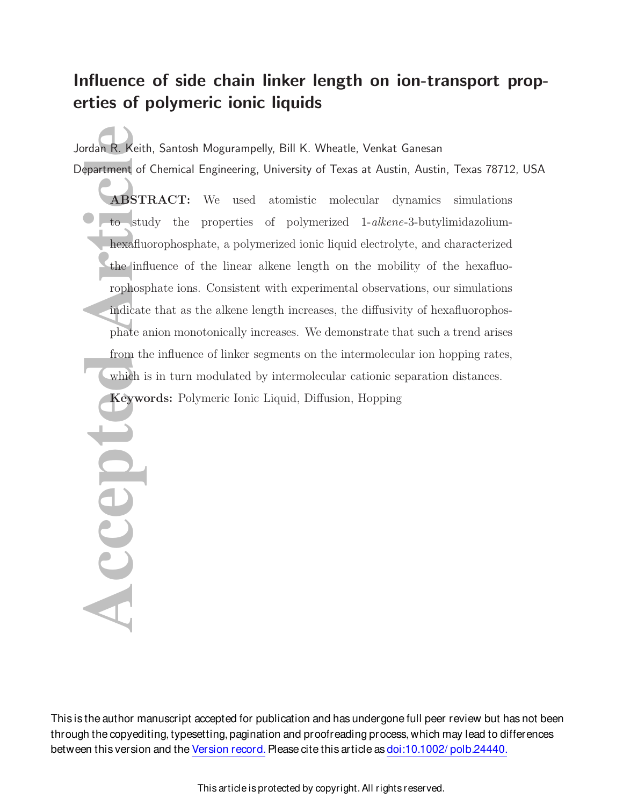# Influence of side chain linker length on ion-transport properties of polymeric ionic liquids

Jordan R. Keith, Santosh Mogurampelly, Bill K. Wheatle, Venkat Ganesan Department of Chemical Engineering, University of Texas at Austin, Austin, Texas 78712, USA

**ACCERTING SEPARA CONTRANSTRA**<br> **ABSTRA**<br> **CONTRANSTRA**<br> **CONTRANSTRA**<br> **CONTRANSTRA**<br> **CONTRANSTRA**<br> **CONTRANSTRA**<br> **CONTRANSIDE SEPARA CONTRANSIDE SEPARA CONTRANSIDE SEPARA CONTRANSIDE SEPARA CONTRANSIDE SEPARA CONTRANSI** ABSTRACT: We used atomistic molecular dynamics simulations to study the properties of polymerized 1-alkene-3-butylimidazoliumhexafluorophosphate, a polymerized ionic liquid electrolyte, and characterized the influence of the linear alkene length on the mobility of the hexafluorophosphate ions. Consistent with experimental observations, our simulations indicate that as the alkene length increases, the diffusivity of hexafluorophosphate anion monotonically increases. We demonstrate that such a trend arises from the influence of linker segments on the intermolecular ion hopping rates, which is in turn modulated by intermolecular cationic separation distances.

Keywords: Polymeric Ionic Liquid, Diffusion, Hopping

Accept

This is the author manuscript accepted for publication and has undergone full peer review but has not been through the copyediting, typesetting, pagination and proofreading process, which may lead to differences between this version and the Version record. Please cite this article as doi:10.1002/ polb.24440.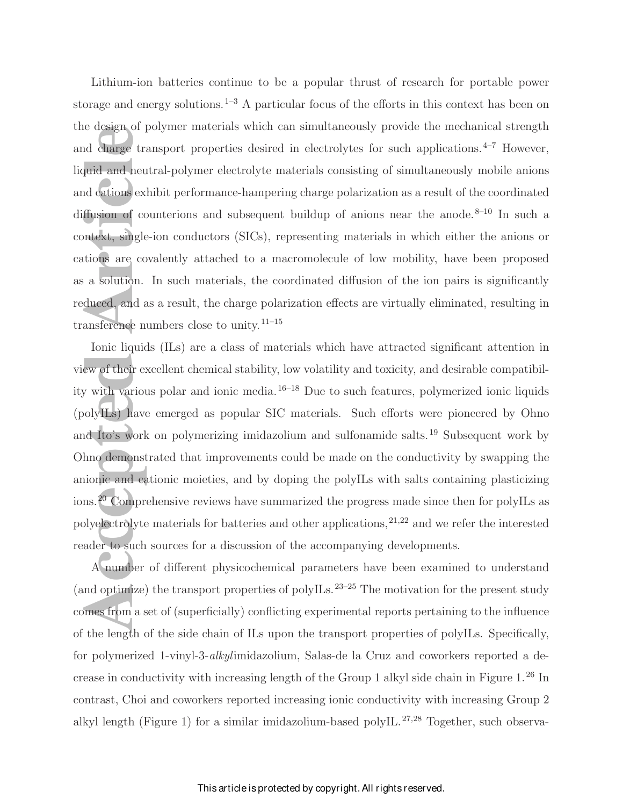Lithium-ion batteries continue to be a popular thrust of research for portable power storage and energy solutions.<sup>1–3</sup> A particular focus of the efforts in this context has been on the design of polymer materials which can simultaneously provide the mechanical strength and charge transport properties desired in electrolytes for such applications. $4-7$  However, liquid and neutral-polymer electrolyte materials consisting of simultaneously mobile anions and cations exhibit performance-hampering charge polarization as a result of the coordinated diffusion of counterions and subsequent buildup of anions near the anode.<sup>8–10</sup> In such a context, single-ion conductors (SICs), representing materials in which either the anions or cations are covalently attached to a macromolecule of low mobility, have been proposed as a solution. In such materials, the coordinated diffusion of the ion pairs is significantly reduced, and as a result, the charge polarization effects are virtually eliminated, resulting in transference numbers close to unity.<sup>11–15</sup>

re design of pory<br>
and charge trans<br>
quid and neutra<br>
and cations exhibitions<br>
flusion of count<br>
intext, single-ion<br>
tions are coval<br>
a solution. In<br>
duced, and as a<br>
ansference num<br>
Ionic liquids (<br>
ew of their excel<br>
y w Ionic liquids (ILs) are a class of materials which have attracted significant attention in view of their excellent chemical stability, low volatility and toxicity, and desirable compatibility with various polar and ionic media.16–18 Due to such features, polymerized ionic liquids (polyILs) have emerged as popular SIC materials. Such efforts were pioneered by Ohno and Ito's work on polymerizing imidazolium and sulfonamide salts.<sup>19</sup> Subsequent work by Ohno demonstrated that improvements could be made on the conductivity by swapping the anionic and cationic moieties, and by doping the polyILs with salts containing plasticizing ions.<sup>20</sup> Comprehensive reviews have summarized the progress made since then for polyILs as polyelectrolyte materials for batteries and other applications,  $2^{1,22}$  and we refer the interested reader to such sources for a discussion of the accompanying developments.

A number of different physicochemical parameters have been examined to understand (and optimize) the transport properties of polyILs.<sup>23–25</sup> The motivation for the present study comes from a set of (superficially) conflicting experimental reports pertaining to the influence of the length of the side chain of ILs upon the transport properties of polyILs. Specifically, for polymerized 1-vinyl-3-alkylimidazolium, Salas-de la Cruz and coworkers reported a decrease in conductivity with increasing length of the Group 1 alkyl side chain in Figure  $1.^{26}$  In contrast, Choi and coworkers reported increasing ionic conductivity with increasing Group 2 alkyl length (Figure 1) for a similar imidazolium-based polyIL.<sup>27,28</sup> Together, such observa-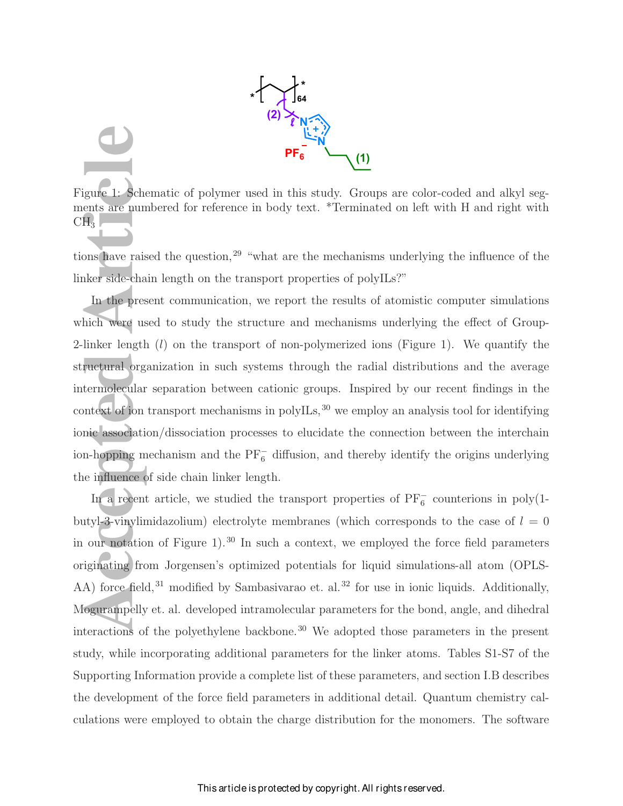

Figure 1: Schematic of polymer used in this study. Groups are color-coded and alkyl segments are numbered for reference in body text. \*Terminated on left with H and right with  $CH<sub>3</sub>$ 

tions have raised the question,<sup>29</sup> "what are the mechanisms underlying the influence of the linker side-chain length on the transport properties of polyILs?"

**Access**<br> **Access**<br> **Access**<br> **Access**<br> **Access**<br> **Access**<br> **Access**<br> **Access**<br> **Access**<br> **Access**<br> **Access**<br> **Access**<br> **Access**<br> **Access**<br> **Access**<br> **Access**<br> **Access**<br> **Access**<br> **Access**<br> **Access**<br> **Access**<br> **Access**<br> **A** In the present communication, we report the results of atomistic computer simulations which were used to study the structure and mechanisms underlying the effect of Group-2-linker length  $(l)$  on the transport of non-polymerized ions (Figure 1). We quantify the structural organization in such systems through the radial distributions and the average intermolecular separation between cationic groups. Inspired by our recent findings in the context of ion transport mechanisms in polyILs,  $30$  we employ an analysis tool for identifying ionic association/dissociation processes to elucidate the connection between the interchain ion-hopping mechanism and the  $\overline{PF}_6^-$  diffusion, and thereby identify the origins underlying the influence of side chain linker length.

In a recent article, we studied the transport properties of  $PF_6^-$  counterions in poly(1butyl-3-vinylimidazolium) electrolyte membranes (which corresponds to the case of  $l = 0$ in our notation of Figure 1).<sup>30</sup> In such a context, we employed the force field parameters originating from Jorgensen's optimized potentials for liquid simulations-all atom (OPLS-AA) force field,<sup>31</sup> modified by Sambasivarao et. al.<sup>32</sup> for use in ionic liquids. Additionally, Mogurampelly et. al. developed intramolecular parameters for the bond, angle, and dihedral interactions of the polyethylene backbone.<sup>30</sup> We adopted those parameters in the present study, while incorporating additional parameters for the linker atoms. Tables S1-S7 of the Supporting Information provide a complete list of these parameters, and section I.B describes the development of the force field parameters in additional detail. Quantum chemistry calculations were employed to obtain the charge distribution for the monomers. The software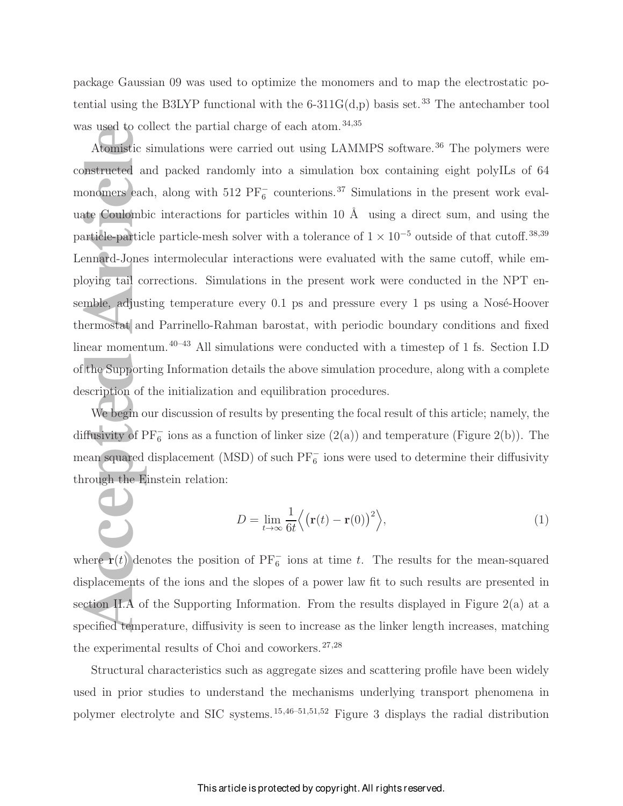package Gaussian 09 was used to optimize the monomers and to map the electrostatic potential using the B3LYP functional with the 6-311 $G(d,p)$  basis set.<sup>33</sup> The antechamber tool was used to collect the partial charge of each atom.<sup>34,35</sup>

Atomistic sim<br> **Atomistic sim**<br> **Atomistic sim**<br> **Atomistic sim**<br> **Atomistic sim**<br> **Atomistic sim**<br> **Atomistic sim**<br> **Accepted Article**<br> **Panarticle**<br> **Panarticle**<br> **Panartic Supporting**<br> **Examplement Scription of the<br>
<b>W** Atomistic simulations were carried out using LAMMPS software.<sup>36</sup> The polymers were constructed and packed randomly into a simulation box containing eight polyILs of 64 monomers each, along with  $512$  PF $_6^-$  counterions.<sup>37</sup> Simulations in the present work evaluate Coulombic interactions for particles within 10  $\AA$  using a direct sum, and using the particle-particle particle-mesh solver with a tolerance of  $1 \times 10^{-5}$  outside of that cutoff.<sup>38,39</sup> Lennard-Jones intermolecular interactions were evaluated with the same cutoff, while employing tail corrections. Simulations in the present work were conducted in the NPT ensemble, adjusting temperature every  $0.1$  ps and pressure every 1 ps using a Nosé-Hoover thermostat and Parrinello-Rahman barostat, with periodic boundary conditions and fixed linear momentum.<sup>40–43</sup> All simulations were conducted with a timestep of 1 fs. Section I.D of the Supporting Information details the above simulation procedure, along with a complete description of the initialization and equilibration procedures.

We begin our discussion of results by presenting the focal result of this article; namely, the diffusivity of  $PF_6^-$  ions as a function of linker size  $(2(a))$  and temperature (Figure 2(b)). The mean squared displacement (MSD) of such  $\overline{PF}_6^-$  ions were used to determine their diffusivity through the Einstein relation:

$$
D = \lim_{t \to \infty} \frac{1}{6t} \left\langle \left( \mathbf{r}(t) - \mathbf{r}(0) \right)^2 \right\rangle,\tag{1}
$$

where  $\mathbf{r}(t)$  denotes the position of PF<sub>6</sub> ions at time t. The results for the mean-squared displacements of the ions and the slopes of a power law fit to such results are presented in section II.A of the Supporting Information. From the results displayed in Figure 2(a) at a specified temperature, diffusivity is seen to increase as the linker length increases, matching the experimental results of Choi and coworkers. $27,28$ 

Structural characteristics such as aggregate sizes and scattering profile have been widely used in prior studies to understand the mechanisms underlying transport phenomena in polymer electrolyte and SIC systems.15,46–51,51,52 Figure 3 displays the radial distribution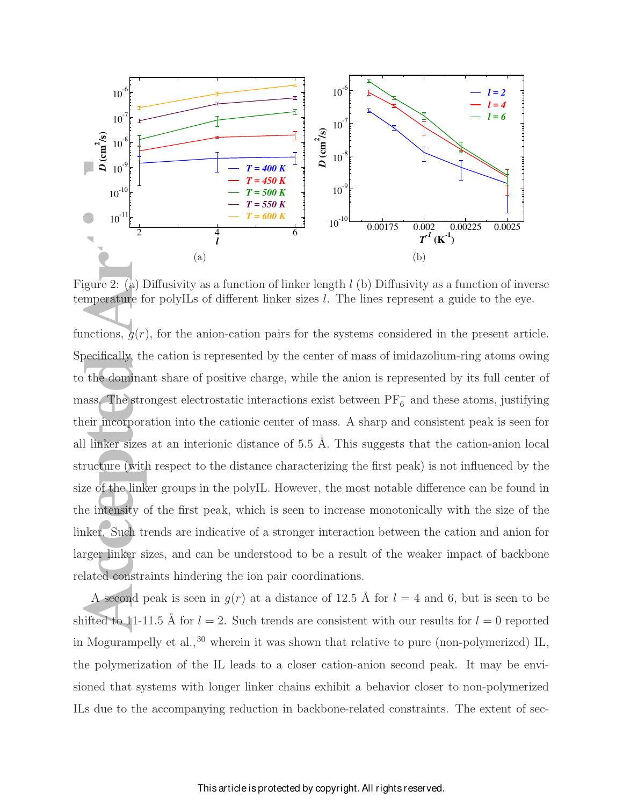

Figure 2: (a) Diffusivity as a function of linker length l (b) Diffusivity as a function of inverse temperature for polyILs of different linker sizes l. The lines represent a guide to the eye.

**Access 10**  $\frac{2}{\sqrt{2}}$  10<sup>3</sup><br> **Access 10**<sup>3</sup><br> **Access 10**<sup>4</sup><br> **Access 10**<sup>4</sup><br> **Access 10**<sup>4</sup><br> **Access 10**<sup>4</sup><br> **Access 10**<sup>4</sup><br> **Access 10**<sup>4</sup><br> **Access 10**<sup>4</sup><br> **Access 10**<sup>4</sup><br> **Access 10**<sup>4</sup><br> **Access 10**<sup>4</sup><br> **Access 10**<sup>4</sup> functions,  $q(r)$ , for the anion-cation pairs for the systems considered in the present article. Specifically, the cation is represented by the center of mass of imidazolium-ring atoms owing to the dominant share of positive charge, while the anion is represented by its full center of mass. The strongest electrostatic interactions exist between  $\overline{PF}^-_6$  and these atoms, justifying their incorporation into the cationic center of mass. A sharp and consistent peak is seen for all linker sizes at an interionic distance of  $5.5$  Å. This suggests that the cation-anion local structure (with respect to the distance characterizing the first peak) is not influenced by the size of the linker groups in the polyIL. However, the most notable difference can be found in the intensity of the first peak, which is seen to increase monotonically with the size of the linker. Such trends are indicative of a stronger interaction between the cation and anion for larger linker sizes, and can be understood to be a result of the weaker impact of backbone related constraints hindering the ion pair coordinations.

A second peak is seen in  $g(r)$  at a distance of 12.5 Å for  $l = 4$  and 6, but is seen to be shifted to 11-11.5 Å for  $l = 2$ . Such trends are consistent with our results for  $l = 0$  reported in Mogurampelly et al.,  $30$  wherein it was shown that relative to pure (non-polymerized) IL, the polymerization of the IL leads to a closer cation-anion second peak. It may be envisioned that systems with longer linker chains exhibit a behavior closer to non-polymerized ILs due to the accompanying reduction in backbone-related constraints. The extent of sec-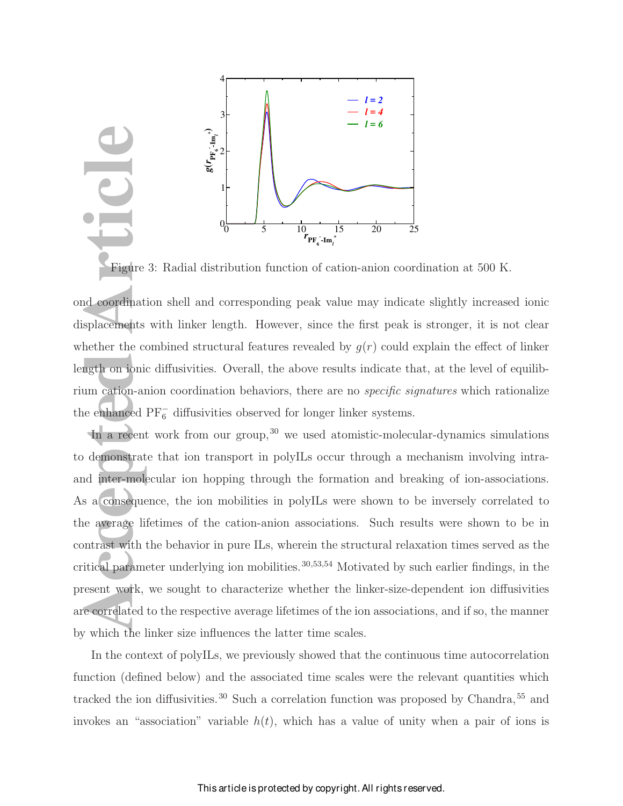

Figure 3: Radial distribution function of cation-anion coordination at 500 K.

ond coordination shell and corresponding peak value may indicate slightly increased ionic displacements with linker length. However, since the first peak is stronger, it is not clear whether the combined structural features revealed by  $g(r)$  could explain the effect of linker length on ionic diffusivities. Overall, the above results indicate that, at the level of equilibrium cation-anion coordination behaviors, there are no specific signatures which rationalize the enhanced  $\text{PF}_6^-$  diffusivities observed for longer linker systems.

Figure 3:<br>
He Coordination<br>
Superior Splacements with<br>
the there the combing the only only in the combined PF and the splace of the combined PF and the splace of the splace of the splace of the splace of the splace of the In a recent work from our group,  $30$  we used atomistic-molecular-dynamics simulations to demonstrate that ion transport in polyILs occur through a mechanism involving intraand inter-molecular ion hopping through the formation and breaking of ion-associations. As a consequence, the ion mobilities in polyILs were shown to be inversely correlated to the average lifetimes of the cation-anion associations. Such results were shown to be in contrast with the behavior in pure ILs, wherein the structural relaxation times served as the critical parameter underlying ion mobilities.<sup>30,53,54</sup> Motivated by such earlier findings, in the present work, we sought to characterize whether the linker-size-dependent ion diffusivities are correlated to the respective average lifetimes of the ion associations, and if so, the manner by which the linker size influences the latter time scales.

In the context of polyILs, we previously showed that the continuous time autocorrelation function (defined below) and the associated time scales were the relevant quantities which tracked the ion diffusivities.<sup>30</sup> Such a correlation function was proposed by Chandra,<sup>55</sup> and invokes an "association" variable  $h(t)$ , which has a value of unity when a pair of ions is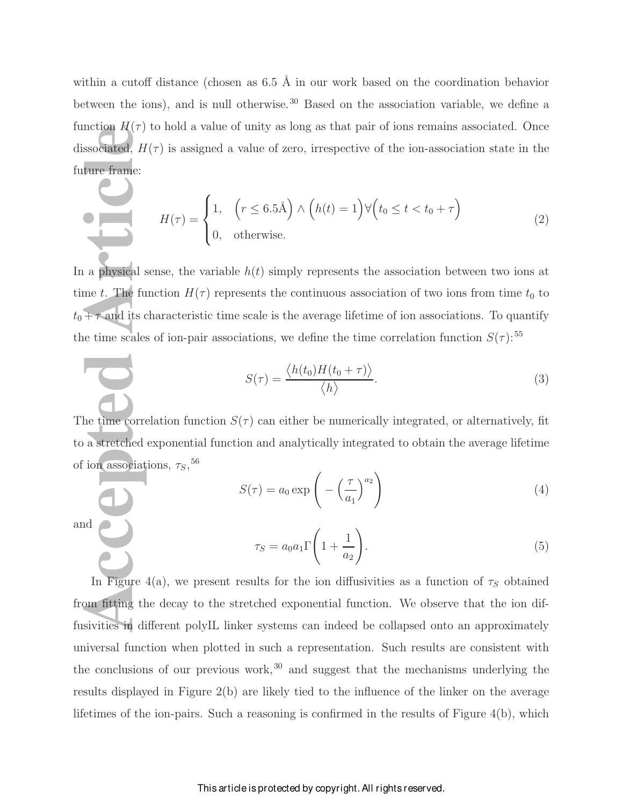within a cutoff distance (chosen as  $6.5 \text{ Å}$  in our work based on the coordination behavior between the ions), and is null otherwise.<sup>30</sup> Based on the association variable, we define a function  $H(\tau)$  to hold a value of unity as long as that pair of ions remains associated. Once dissociated,  $H(\tau)$  is assigned a value of zero, irrespective of the ion-association state in the future frame:

$$
H(\tau) = \begin{cases} 1, & \left(r \le 6.5\text{\AA}\right) \land \left(h(t) = 1\right) \forall \left(t_0 \le t < t_0 + \tau\right) \\ 0, & \text{otherwise.} \end{cases} \tag{2}
$$

 $\begin{bmatrix} \text{a.} & \text{b.} \\ \text{b.} & \text{c.} \\ \text{c.} & \text{d.} \\ \text{d.} & \text{d.} \\ \text{e.} & \text{d.} \\ \text{f.} & \text{f.} \\ \text{f.} & \text{g.} \\ \text{g.} & \text{g.} \\ \text{h.} & \text{h.} \\ \text{h.} & \text{h.} \\ \text{h.} & \text{h.} \\ \text{h.} & \text{h.} \\ \text{i.} & \text{h.} \\ \text{i.} & \text{h.} \\ \text{i.} & \text{h.} \\ \text{i$ In a physical sense, the variable  $h(t)$  simply represents the association between two ions at time t. The function  $H(\tau)$  represents the continuous association of two ions from time  $t_0$  to  $t_0 + \tau$  and its characteristic time scale is the average lifetime of ion associations. To quantify the time scales of ion-pair associations, we define the time correlation function  $S(\tau)$ :<sup>55</sup>

$$
S(\tau) = \frac{\langle h(t_0)H(t_0 + \tau) \rangle}{\langle h \rangle}.
$$
\n(3)

The time correlation function  $S(\tau)$  can either be numerically integrated, or alternatively, fit to a stretched exponential function and analytically integrated to obtain the average lifetime of ion associations,  $\tau_S$ , <sup>56</sup>

$$
S(\tau) = a_0 \exp\left(-\left(\frac{\tau}{a_1}\right)^{a_2}\right) \tag{4}
$$

and

$$
\tau_S = a_0 a_1 \Gamma \left( 1 + \frac{1}{a_2} \right). \tag{5}
$$

In Figure 4(a), we present results for the ion diffusivities as a function of  $\tau_s$  obtained from fitting the decay to the stretched exponential function. We observe that the ion diffusivities in different polyIL linker systems can indeed be collapsed onto an approximately universal function when plotted in such a representation. Such results are consistent with the conclusions of our previous work, $30$  and suggest that the mechanisms underlying the results displayed in Figure 2(b) are likely tied to the influence of the linker on the average lifetimes of the ion-pairs. Such a reasoning is confirmed in the results of Figure 4(b), which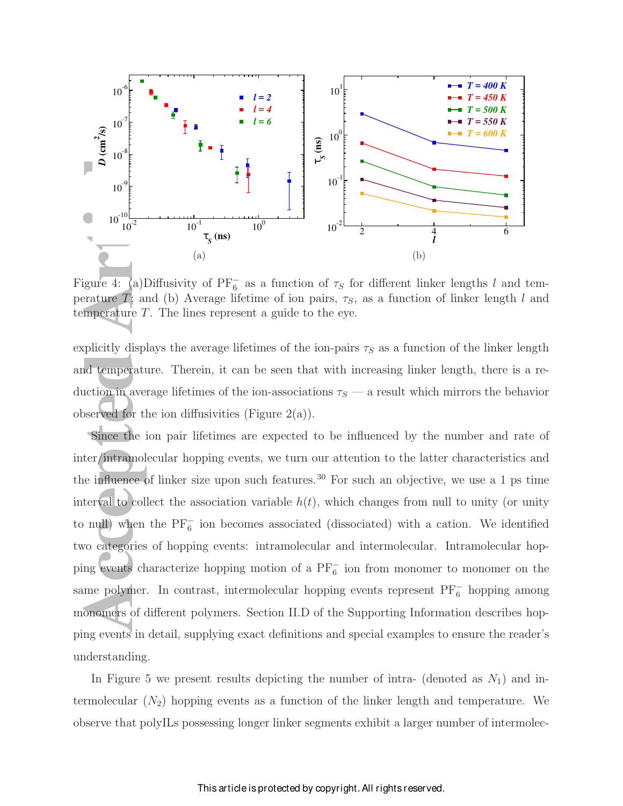

Figure 4: (a)Diffusivity of PF<sub>6</sub> as a function of  $\tau_S$  for different linker lengths l and temperature T; and (b) Average lifetime of ion pairs,  $\tau_s$ , as a function of linker length l and temperature T. The lines represent a guide to the eye.

explicitly displays the average lifetimes of the ion-pairs  $\tau<sub>S</sub>$  as a function of the linker length and temperature. Therein, it can be seen that with increasing linker length, there is a reduction in average lifetimes of the ion-associations  $\tau_s$  — a result which mirrors the behavior observed for the ion diffusivities (Figure  $2(a)$ ).

**Accepted Articles** 1<br> **Accepted Articles** 10<sup>-10</sup><br>
10<sup>-10</sup><br>
10<sup>-10</sup><br>
10<sup>-10</sup><br>
10<sup>-10</sup><br>
10<sup>-10</sup><br>
10<sup>-10</sup><br>
10<sup>-10</sup><br>
10<sup>-10</sup><br>
10<sup>-10</sup><br>
10<sup>-10</sup><br>
10<sup>-10</sup><br>
10<sup>-10</sup><br>
10<sup>-1</sup><br>
1<sub>7<sub>5</sub>(ns) <sup>10°</sup><br>
(a)<br>
(a)<br>
(a)<br>
(a)<br>
20-10<sup>-1</sup><br>
10<sup>-</sub></sup> Since the ion pair lifetimes are expected to be influenced by the number and rate of inter/intramolecular hopping events, we turn our attention to the latter characteristics and the influence of linker size upon such features.<sup>30</sup> For such an objective, we use a 1 ps time interval to collect the association variable  $h(t)$ , which changes from null to unity (or unity to null) when the  $PF_6^-$  ion becomes associated (dissociated) with a cation. We identified two categories of hopping events: intramolecular and intermolecular. Intramolecular hopping events characterize hopping motion of a PF<sup>-</sup> ion from monomer to monomer on the same polymer. In contrast, intermolecular hopping events represent PF<sub>6</sub> hopping among monomers of different polymers. Section II.D of the Supporting Information describes hopping events in detail, supplying exact definitions and special examples to ensure the reader's understanding.

In Figure 5 we present results depicting the number of intra- (denoted as  $N_1$ ) and intermolecular  $(N_2)$  hopping events as a function of the linker length and temperature. We observe that polyILs possessing longer linker segments exhibit a larger number of intermolec-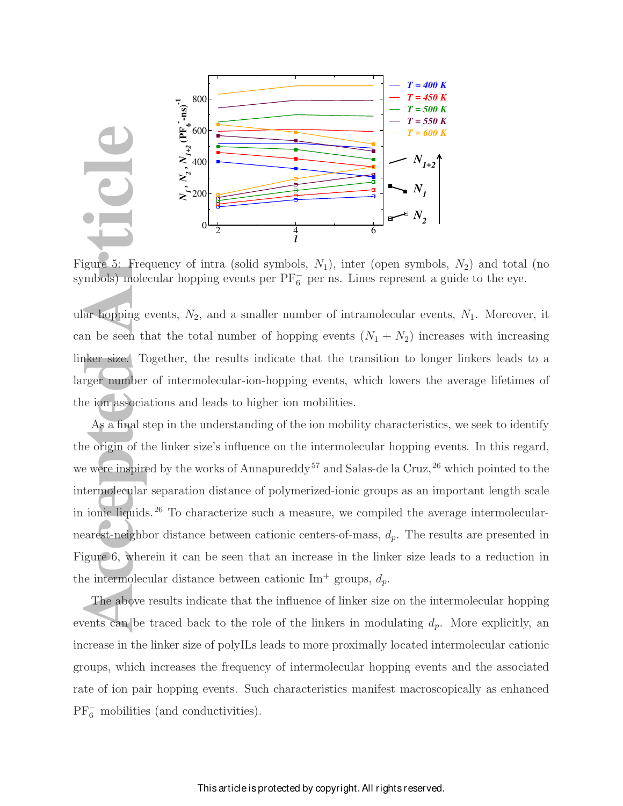

Figure 5: Frequency of intra (solid symbols,  $N_1$ ), inter (open symbols,  $N_2$ ) and total (no symbols) molecular hopping events per  $PF_6^-$  per ns. Lines represent a guide to the eye.

ular hopping events,  $N_2$ , and a smaller number of intramolecular events,  $N_1$ . Moreover, it can be seen that the total number of hopping events  $(N_1 + N_2)$  increases with increasing linker size. Together, the results indicate that the transition to longer linkers leads to a larger number of intermolecular-ion-hopping events, which lowers the average lifetimes of the ion associations and leads to higher ion mobilities.

**Access 1999**<br> **Access 1999**<br> **Access 1999**<br> **Access 1999**<br> **Access 1999**<br> **Access 1999**<br> **Access 1999**<br> **Access 1999**<br> **Access 1999**<br> **Access 1999**<br> **Access 1999**<br> **Access 1999**<br> **Access 1999**<br> **Access 1999**<br> **Access 1999** As a final step in the understanding of the ion mobility characteristics, we seek to identify the origin of the linker size's influence on the intermolecular hopping events. In this regard, we were inspired by the works of Annapureddy<sup>57</sup> and Salas-de la Cruz,<sup>26</sup> which pointed to the intermolecular separation distance of polymerized-ionic groups as an important length scale in ionic liquids.<sup>26</sup> To characterize such a measure, we compiled the average intermolecularnearest-neighbor distance between cationic centers-of-mass,  $d_p$ . The results are presented in Figure 6, wherein it can be seen that an increase in the linker size leads to a reduction in the intermolecular distance between cationic Im<sup>+</sup> groups,  $d_p$ .

The above results indicate that the influence of linker size on the intermolecular hopping events can be traced back to the role of the linkers in modulating  $d_p$ . More explicitly, an increase in the linker size of polyILs leads to more proximally located intermolecular cationic groups, which increases the frequency of intermolecular hopping events and the associated rate of ion pair hopping events. Such characteristics manifest macroscopically as enhanced  $PF_6^-$  mobilities (and conductivities).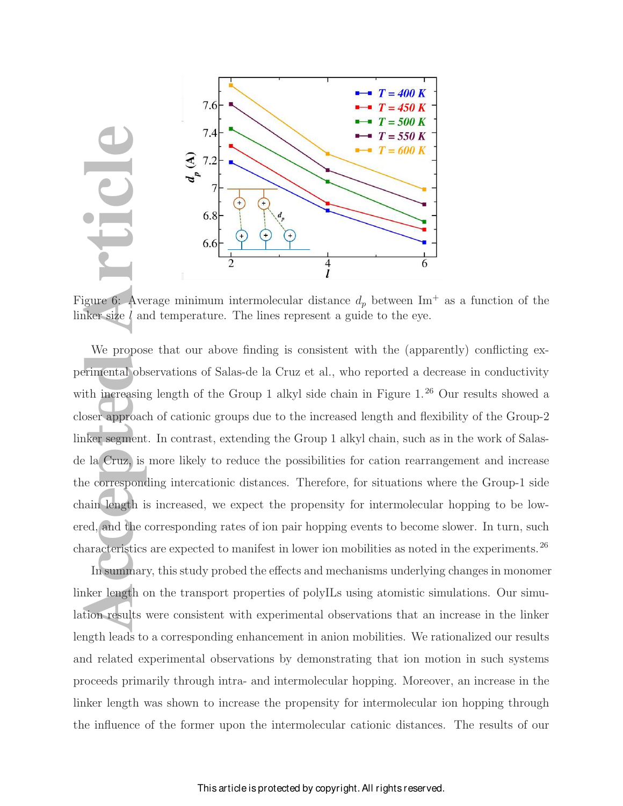

Figure 6: Average minimum intermolecular distance  $d_p$  between Im<sup>+</sup> as a function of the linker size l and temperature. The lines represent a guide to the eye.

**Acception 1997**<br> **Accept Article Article Article Article Article Article Article Article Article Article Article<br>
Article Article Article Schere Article Article Article Article Article Article Article Article Article Arti** We propose that our above finding is consistent with the (apparently) conflicting experimental observations of Salas-de la Cruz et al., who reported a decrease in conductivity with increasing length of the Group 1 alkyl side chain in Figure 1.<sup>26</sup> Our results showed a closer approach of cationic groups due to the increased length and flexibility of the Group-2 linker segment. In contrast, extending the Group 1 alkyl chain, such as in the work of Salasde la Cruz, is more likely to reduce the possibilities for cation rearrangement and increase the corresponding intercationic distances. Therefore, for situations where the Group-1 side chain length is increased, we expect the propensity for intermolecular hopping to be lowered, and the corresponding rates of ion pair hopping events to become slower. In turn, such characteristics are expected to manifest in lower ion mobilities as noted in the experiments.<sup>26</sup>

In summary, this study probed the effects and mechanisms underlying changes in monomer linker length on the transport properties of polyILs using atomistic simulations. Our simulation results were consistent with experimental observations that an increase in the linker length leads to a corresponding enhancement in anion mobilities. We rationalized our results and related experimental observations by demonstrating that ion motion in such systems proceeds primarily through intra- and intermolecular hopping. Moreover, an increase in the linker length was shown to increase the propensity for intermolecular ion hopping through the influence of the former upon the intermolecular cationic distances. The results of our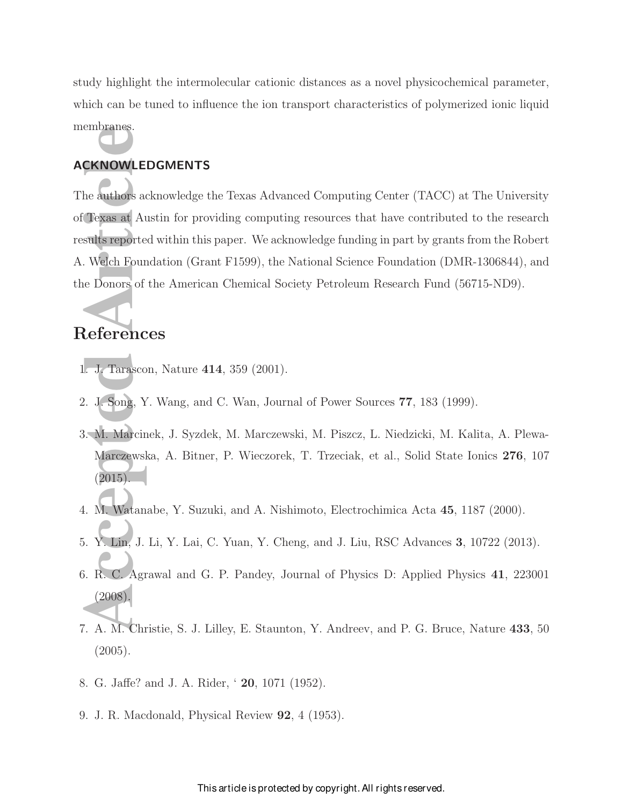study highlight the intermolecular cationic distances as a novel physicochemical parameter, which can be tuned to influence the ion transport characteristics of polymerized ionic liquid membranes.

### ACKNOWLEDGMENTS

EXANOWLEDG<br>
he authors ackne<br>
Texas at Austi<br>
sults reported w<br>
Melch Foundate<br>
Donors of the<br> **References**<br>
J. J. Tarascon, J.<br>
2. J. Song, Y. W<br>
3. M. Marcinek, Marczewska, (2015)<br>
4. M. Watanabe<br>
5. Y. Lin, J. Li, J. Li The authors acknowledge the Texas Advanced Computing Center (TACC) at The University of Texas at Austin for providing computing resources that have contributed to the research results reported within this paper. We acknowledge funding in part by grants from the Robert A. Welch Foundation (Grant F1599), the National Science Foundation (DMR-1306844), and the Donors of the American Chemical Society Petroleum Research Fund (56715-ND9).

## References

- 1. J. Tarascon, Nature 414, 359 (2001).
- 2. J. Song, Y. Wang, and C. Wan, Journal of Power Sources 77, 183 (1999).
- 3. M. Marcinek, J. Syzdek, M. Marczewski, M. Piszcz, L. Niedzicki, M. Kalita, A. Plewa-Marczewska, A. Bitner, P. Wieczorek, T. Trzeciak, et al., Solid State Ionics 276, 107  $(2015)$ .
- 4. M. Watanabe, Y. Suzuki, and A. Nishimoto, Electrochimica Acta 45, 1187 (2000).
- 5. Y. Lin, J. Li, Y. Lai, C. Yuan, Y. Cheng, and J. Liu, RSC Advances 3, 10722 (2013).
- 6. R. C. Agrawal and G. P. Pandey, Journal of Physics D: Applied Physics 41, 223001 (2008).
- 7. A. M. Christie, S. J. Lilley, E. Staunton, Y. Andreev, and P. G. Bruce, Nature 433, 50  $(2005).$
- 8. G. Jaffe? and J. A. Rider, ' 20, 1071 (1952).
- 9. J. R. Macdonald, Physical Review 92, 4 (1953).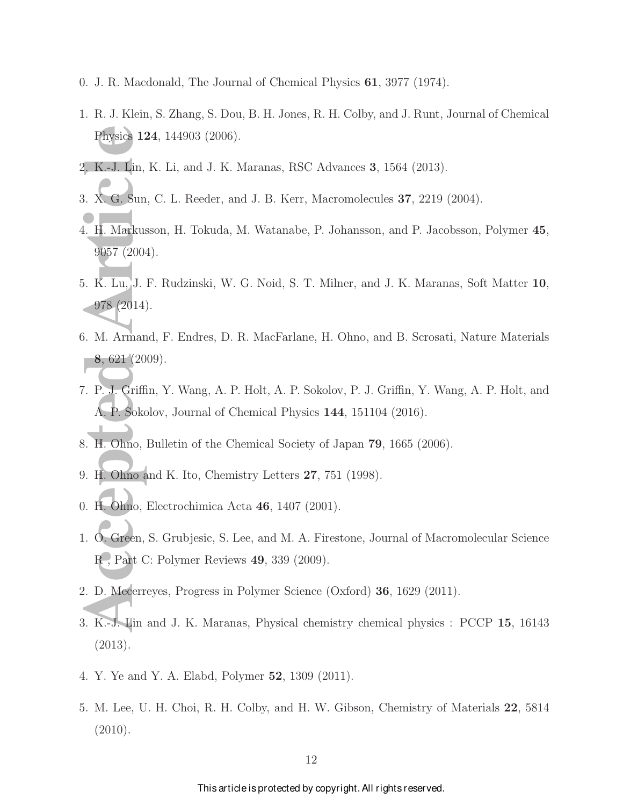- 0. J. R. Macdonald, The Journal of Chemical Physics 61, 3977 (1974).
- 1. R. J. Klein, S. Zhang, S. Dou, B. H. Jones, R. H. Colby, and J. Runt, Journal of Chemical Physics 124, 144903 (2006).
- 2. K.-J. Lin, K. Li, and J. K. Maranas, RSC Advances 3, 1564 (2013).
- 3. X. G. Sun, C. L. Reeder, and J. B. Kerr, Macromolecules 37, 2219 (2004).
- 4. H. Markusson, H. Tokuda, M. Watanabe, P. Johansson, and P. Jacobsson, Polymer 45, 9057 (2004).
- Physics 124,<br>
2. K.-J. Lin, K.<br>
3. X. G. Sun, C<br>
4. H. Markussor<br>
9057 (2004).<br>
5. K. Lu, J. F. 1<br>
978 (2014).<br>
5. M. Armand, 8, 621 (2009)<br>
7. P. J. Griffin, A. P. Sokolov<br>
3. H. Ohno, Bul<br>
9. H. Ohno, Bul<br>
9. H. Ohno, Bu 5. K. Lu, J. F. Rudzinski, W. G. Noid, S. T. Milner, and J. K. Maranas, Soft Matter 10, 978 (2014).
- 6. M. Armand, F. Endres, D. R. MacFarlane, H. Ohno, and B. Scrosati, Nature Materials 8, 621 (2009).
- 7. P. J. Griffin, Y. Wang, A. P. Holt, A. P. Sokolov, P. J. Griffin, Y. Wang, A. P. Holt, and A. P. Sokolov, Journal of Chemical Physics 144, 151104 (2016).
- 8. H. Ohno, Bulletin of the Chemical Society of Japan 79, 1665 (2006).
- 9. H. Ohno and K. Ito, Chemistry Letters 27, 751 (1998).
- 0. H. Ohno, Electrochimica Acta 46, 1407 (2001).
- 1. O. Green, S. Grubjesic, S. Lee, and M. A. Firestone, Journal of Macromolecular Science R , Part C: Polymer Reviews 49, 339 (2009).
- 2. D. Mecerreyes, Progress in Polymer Science (Oxford) 36, 1629 (2011).
- 3. K.-J. Lin and J. K. Maranas, Physical chemistry chemical physics : PCCP 15, 16143 (2013).
- 4. Y. Ye and Y. A. Elabd, Polymer 52, 1309 (2011).
- 5. M. Lee, U. H. Choi, R. H. Colby, and H. W. Gibson, Chemistry of Materials 22, 5814 (2010).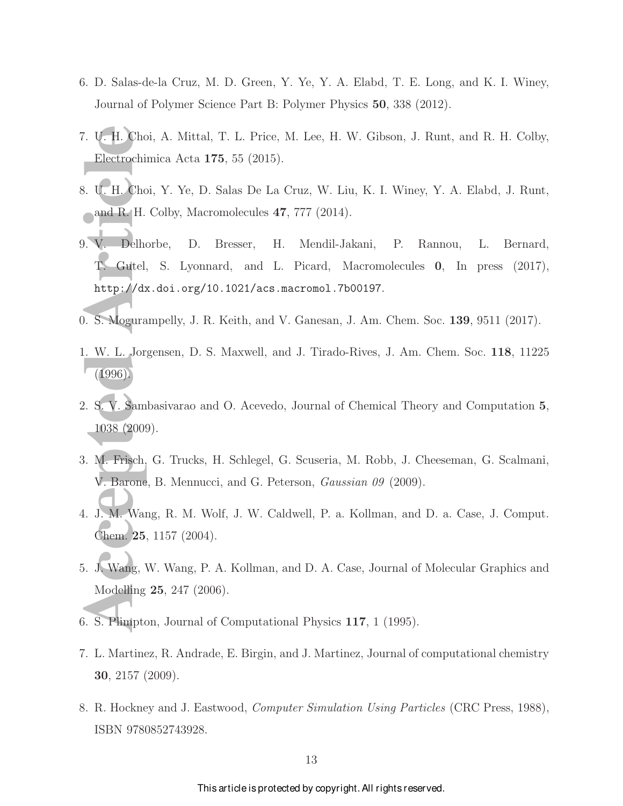- 6. D. Salas-de-la Cruz, M. D. Green, Y. Ye, Y. A. Elabd, T. E. Long, and K. I. Winey, Journal of Polymer Science Part B: Polymer Physics 50, 338 (2012).
- 7. U. H. Choi, A. Mittal, T. L. Price, M. Lee, H. W. Gibson, J. Runt, and R. H. Colby, Electrochimica Acta 175, 55 (2015).
- 8. U. H. Choi, Y. Ye, D. Salas De La Cruz, W. Liu, K. I. Winey, Y. A. Elabd, J. Runt, and R. H. Colby, Macromolecules 47, 777 (2014).
- 1. U. H. Choi, 1<br>
Electrochimic<br>
3. U. H. Choi, 1<br>
and R. H. Co<br>
1. C. Gutel, 8<br>
http://dx.d<br>
http://dx.d<br>
1. S. Moguramp<br>
1996).<br>
2. S. V. Sambas<br>
1038 (2009).<br>
3. M. Frisch, G. V. Barone, B<br>
4. J. M. Wang, Chem. 25, 11<br> 9. V. Delhorbe, D. Bresser, H. Mendil-Jakani, P. Rannou, L. Bernard, T. Gutel, S. Lyonnard, and L. Picard, Macromolecules 0, In press (2017), http://dx.doi.org/10.1021/acs.macromol.7b00197.
- 0. S. Mogurampelly, J. R. Keith, and V. Ganesan, J. Am. Chem. Soc. 139, 9511 (2017).
- 1. W. L. Jorgensen, D. S. Maxwell, and J. Tirado-Rives, J. Am. Chem. Soc. 118, 11225 (1996).
- 2. S. V. Sambasivarao and O. Acevedo, Journal of Chemical Theory and Computation 5, 1038 (2009).
- 3. M. Frisch, G. Trucks, H. Schlegel, G. Scuseria, M. Robb, J. Cheeseman, G. Scalmani, V. Barone, B. Mennucci, and G. Peterson, Gaussian 09 (2009).
- 4. J. M. Wang, R. M. Wolf, J. W. Caldwell, P. a. Kollman, and D. a. Case, J. Comput. Chem. 25, 1157 (2004).
- 5. J. Wang, W. Wang, P. A. Kollman, and D. A. Case, Journal of Molecular Graphics and Modelling 25, 247 (2006).
- 6. S. Plimpton, Journal of Computational Physics 117, 1 (1995).
- 7. L. Martinez, R. Andrade, E. Birgin, and J. Martinez, Journal of computational chemistry 30, 2157 (2009).
- 8. R. Hockney and J. Eastwood, Computer Simulation Using Particles (CRC Press, 1988), ISBN 9780852743928.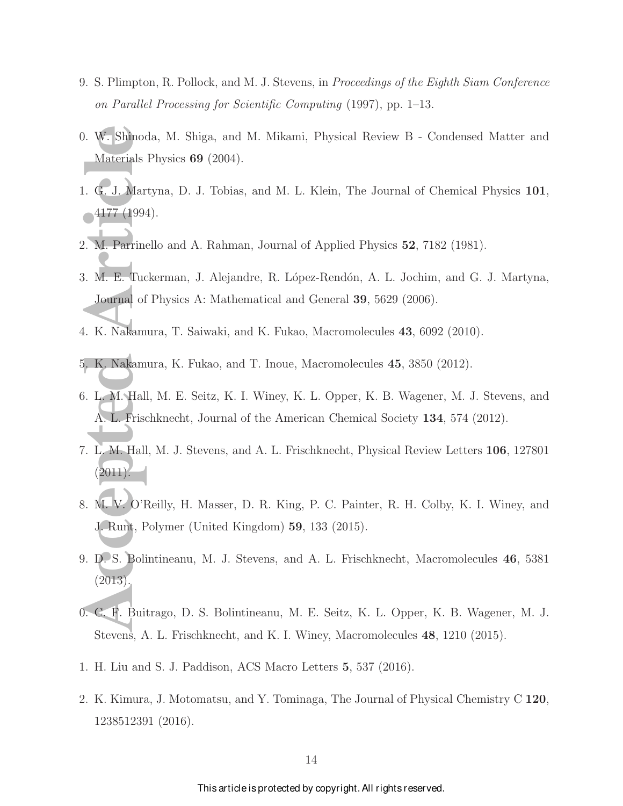- 9. S. Plimpton, R. Pollock, and M. J. Stevens, in Proceedings of the Eighth Siam Conference on Parallel Processing for Scientific Computing (1997), pp. 1–13.
- 0. W. Shinoda, M. Shiga, and M. Mikami, Physical Review B Condensed Matter and Materials Physics 69 (2004).
- 1. G. J. Martyna, D. J. Tobias, and M. L. Klein, The Journal of Chemical Physics 101,  $\sim$  4177 (1994).
- 2. M. Parrinello and A. Rahman, Journal of Applied Physics 52, 7182 (1981).
- 1. W. Shinoda,<br>
Materials Phy<br>
1. G. J. Martyn<br>
1177 (1994).<br>
2. M. Parrinello<br>
3. M. E. Tucker<br>
Journal of Ph<br>
1. K. Nakamura<br>
5. K. Nakamura<br>
5. K. Nakamura<br>
5. K. Nakamura<br>
5. K. Nakamura<br>
5. K. Nakamura<br>
5. K. Nakamura 3. M. E. Tuckerman, J. Alejandre, R. López-Rendón, A. L. Jochim, and G. J. Martyna, Journal of Physics A: Mathematical and General 39, 5629 (2006).
- 4. K. Nakamura, T. Saiwaki, and K. Fukao, Macromolecules 43, 6092 (2010).
- 5. K. Nakamura, K. Fukao, and T. Inoue, Macromolecules 45, 3850 (2012).
- 6. L. M. Hall, M. E. Seitz, K. I. Winey, K. L. Opper, K. B. Wagener, M. J. Stevens, and A. L. Frischknecht, Journal of the American Chemical Society 134, 574 (2012).
- 7. L. M. Hall, M. J. Stevens, and A. L. Frischknecht, Physical Review Letters 106, 127801  $(2011).$
- 8. M. V. O'Reilly, H. Masser, D. R. King, P. C. Painter, R. H. Colby, K. I. Winey, and J. Runt, Polymer (United Kingdom) 59, 133 (2015).
- 9. D. S. Bolintineanu, M. J. Stevens, and A. L. Frischknecht, Macromolecules 46, 5381 (2013).
- 0. C. F. Buitrago, D. S. Bolintineanu, M. E. Seitz, K. L. Opper, K. B. Wagener, M. J. Stevens, A. L. Frischknecht, and K. I. Winey, Macromolecules 48, 1210 (2015).
- 1. H. Liu and S. J. Paddison, ACS Macro Letters 5, 537 (2016).
- 2. K. Kimura, J. Motomatsu, and Y. Tominaga, The Journal of Physical Chemistry C 120, 1238512391 (2016).